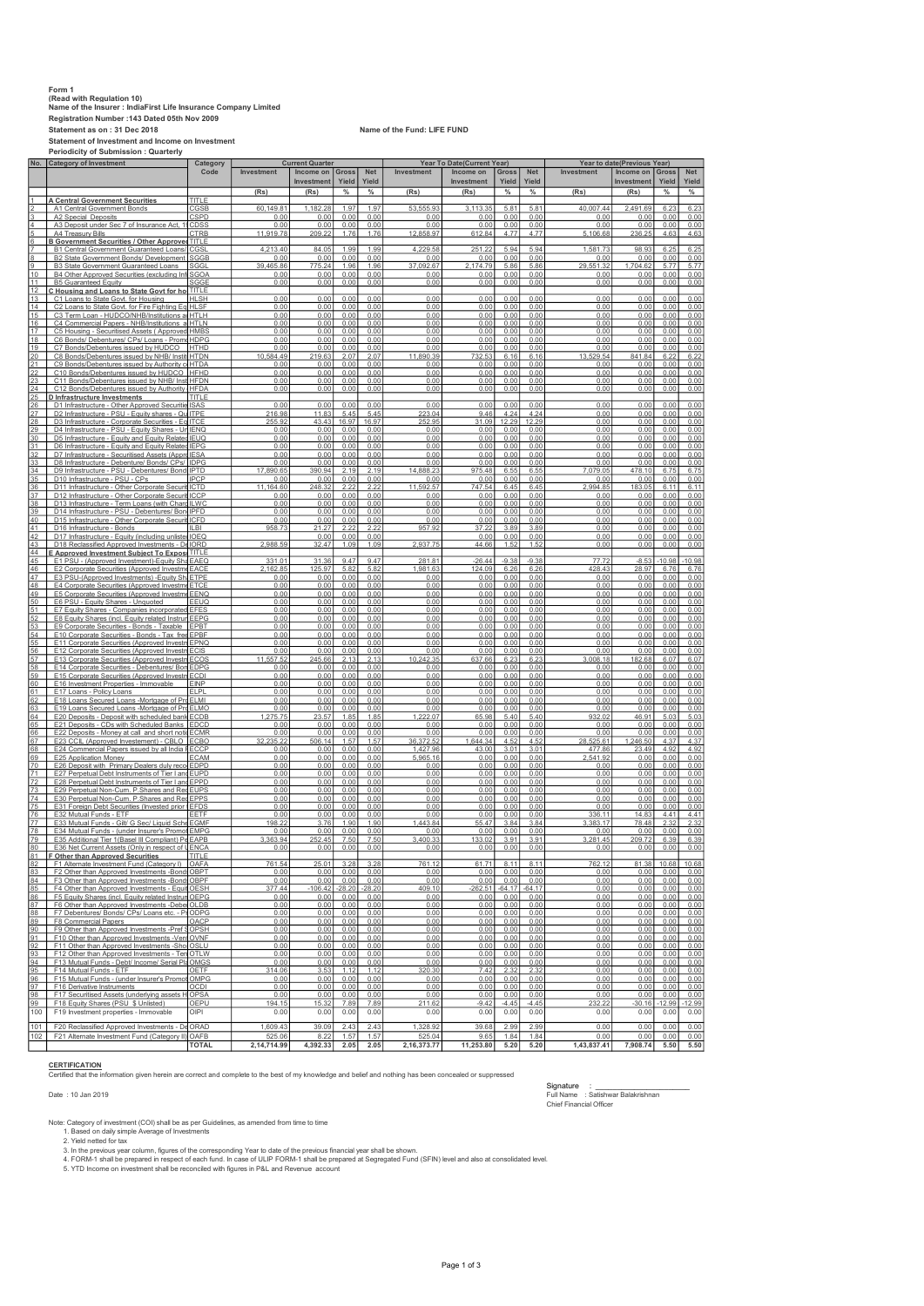## Form 1 (Read with Regulation 10) Name of the Insurer : IndiaFirst Life Insurance Company Limited Registration Number :143 Dated 05th Nov 2009 Statement as on : 31 Dec 2018 Name of the Fund: LIFE FUND

Statement of Investment and Income on Investment Periodicity of Submission : Quarterly

|          | No. Category of Investment                                                                             | Category      | <b>Current Quarter</b> |                |               |               | Year To Date(Current Year) |                |                  |                  | Year to date(Previous Year) |               |              |              |  |
|----------|--------------------------------------------------------------------------------------------------------|---------------|------------------------|----------------|---------------|---------------|----------------------------|----------------|------------------|------------------|-----------------------------|---------------|--------------|--------------|--|
|          |                                                                                                        | Code          | Investment             | Income on      | Gross         | <b>Net</b>    | Investment                 | Income on      | Gross            | <b>Net</b>       | Investment                  | Income on     | Gross        | Net          |  |
|          |                                                                                                        |               |                        | Investment     | Yield         | Yield         |                            | Investment     | Yield            | Yield            |                             | Investment    | Yield        | Yield        |  |
|          |                                                                                                        |               | (Rs)                   | (Rs)           | $\%$          | $\%$          | (Rs)                       | (Rs)           | %                | $\%$             | (Rs)                        | (Rs)          | $\%$         | $\%$         |  |
|          | <b>A Central Government Securities</b>                                                                 | TITLE         |                        |                |               |               |                            |                |                  |                  |                             |               |              |              |  |
|          | A1 Central Government Bonds                                                                            | CGSB          | 60.149.81              | 1.182.28       | 1.97          | 1.97          | 53.555.93                  | 3.113.35       | 5.81             | $5.8^{\circ}$    | 40.007.44                   | 2.491.69      | 6.23         | 6.23         |  |
|          | A2 Special Deposits                                                                                    | <b>CSPD</b>   | 0.00                   | 0.00           | 0.00          | 0.00          | 0.00                       | 0.00           | 0.00             | 0.00             | 0.00                        | 0.00          | 0.00         | 0.00         |  |
|          | A3 Deposit under Sec 7 of Insurance Act,                                                               | CDSS          | 0.00                   | 0.00           | 0.00          | 0.00          | 0.00                       | 0.00           | 0.00             | 0.00             | 0.00                        | 0.00          | 0.00         | 0.00         |  |
|          | <b>A4 Treasury Bills</b>                                                                               | CTRE          | 11,919.78              | 209.           | 1.76          | 1.76          | 12,858.97                  | 612.84         | 4.77             | 4.77             | 5,106.68                    | 236.25        | 4.63         | 4.63         |  |
|          | <b>B Government Securities / Other Approved TITLE</b>                                                  |               |                        |                |               |               |                            |                |                  |                  |                             |               |              |              |  |
|          | <b>B1 Central Government Guaranteed Loans/ CGSL</b>                                                    |               | 4.213.40               | 84.0           | 1.99          | 1.99          | 4.229.58                   | 251.2          | 5.94             | 5.94             | 1.581.7                     | 98.93         | 6.25         | 6.2          |  |
|          | B2 State Government Bonds/ Development                                                                 | SGGE          | 0.00                   | 0.00           | 0.00          | 0.00          | 0.00                       | 0.00           | 0.00             | 0.00             | 0.00                        | 0.00          | 0.00         | 0.00         |  |
|          | <b>B3 State Government Guaranteed Loans</b>                                                            | SGGI          | 465.86                 | 775            | 1.96          | 1.96          | 37.092.67                  | 174.79         | 5.86             | 5.86             | 29.551.33                   | 1.704.62      | 5.77         | 5.77         |  |
| 10       | B4 Other Approved Securities (excluding Inf SGOA                                                       |               | 0.00                   | 0.00           | 0.00          | 0.00          | 0.00                       | 0.00           | 0.00             | 0.00             | 0.00                        | 0.00          | 0.00         | 0.00         |  |
| 11       | <b>B5 Guaranteed Equity</b>                                                                            | SGGE          | 0.00                   | 0.00           | 0.00          | 0.00          | 0.00                       | 0.00           | 0.00             | 0.00             | 0.00                        | 0.00          | 0.00         | 0.00         |  |
| 12<br>13 | <u>C Housina and Loans to State Govt for hol TITLE</u>                                                 | <b>HLSH</b>   | 0.00                   | 0.00           | 0.00          | 0.00          | 0.00                       | 0.00           | 0.00             | 0.00             | 0.00                        | 0.00          | 0.00         | 0.00         |  |
| 14       | C1 Loans to State Govt. for Housing<br>C2 Loans to State Govt. for Fire Fighting Eq HLSF               |               | 0.00                   | 0.00           | 0.00          | 0.00          | 0.00                       | 0.00           | 0.00             | 0.00             | 0.00                        | 0.00          | 0.00         | 0.00         |  |
| 15       | C3 Term Loan - HUDCO/NHB/Institutions at HTLH                                                          |               | 0.00                   | 0.00           | 0.00          | 0.00          | 0.00                       | 0.00           | 0.00             | 0.00             | 0.00                        | 0.00          | 0.00         | 0.00         |  |
| 16       | C4 Commercial Papers - NHB/Institutions a HTLN                                                         |               | 0.00                   | 0.00           | 0.00          | 0.00          | 0.00                       | 0.00           | 0.00             | 0.00             | 0.00                        | 0.00          | 0.00         | 0.00         |  |
| 17       | C5 Housing - Securitised Assets (Approved HMBS                                                         |               | 0.00                   | 0.00           | 0.00          | 0.00          | 0.00                       | 0.00           | 0.00             | 0.00             | 0.00                        | 0.00          | 0.00         | 0.00         |  |
| 18       | C6 Bonds/ Debentures/ CPs/ Loans - Prome HDPG                                                          |               | 0.00                   | 0.00           | 0.00          | 0.00          | 0.00                       | 0.00           | 0.00             | 0.00             | 0.00                        | 0.00          | 0.00         | 0.00         |  |
| 19       | C7 Bonds/Debentures issued by HUDCO                                                                    | <b>HTHD</b>   | 0.00                   | 0.00           | 0.00          | 0.00          | 0.00                       | 0.00           | 0.00             | 0.00             | 0.00                        | 0.00          | 0.00         | 0.00         |  |
| 20       | C8 Bonds/Debentures issued by NHB/ Instit HTDN                                                         |               | 10,584.49              | 219.63         | 2.07          | 2.07          | 11,890.39                  | <u>732.53</u>  | 6.16             | 6.16             | 13,529.54                   | 841.84        | 6.22         | 6.22         |  |
| 21       | C9 Bonds/Debentures issued by Authority of HTDA                                                        |               | 0.00                   | 0.00           | 0.00          | 0.00          | 0.00                       | 0.00           | 0.00             | 0.00             | 0.00                        | 0.00          | 0.00         | 0.00         |  |
| 22       | C10 Bonds/Debentures issued by HUDCO HFHD                                                              |               | 0.00                   | 0.00           | 0.00          | 0.00          | 0.00                       | 0.00           | 0.00             | 0.00             | 0.00                        | 0.00          | 0.00         | 0.00         |  |
| 23       | C11 Bonds/Debentures issued by NHB/ Inst HFDN                                                          |               | 0.00                   | 0.00           | 0.00          | 0.00          | 0.00                       | 0.00           | 0.00             | 0.00             | 0.00                        | 0.00          | 0.00         | 0.00         |  |
| 24       | C12 Bonds/Debentures issued by Authority HFDA                                                          | titi F        | 0.00                   | 0.00           | 0.00          | 0.00          | 0.00                       | 0.00           | 0.00             | 0.00             | 0.00                        | 0.00          | 0.00         | 0.00         |  |
| 25       | <u>D Infrastructure Investments</u>                                                                    | <b>ISAS</b>   | 0.00                   | 0.00           | 0.00          | 0.00          | 0.00                       | 0.00           | 0.00             | 0.00             | 0.00                        | 0.00          | 0.00         | 0.00         |  |
| 26<br>27 | D1 Infrastructure - Other Approved Securitie<br>D2 Infrastructure - PSU - Equity shares - Qu ITPE      |               | 216.98                 | 11.83          | 5.45          | 5.45          | 223.04                     | 9.46           | 4.24             | 4.24             | 0.00                        | 0.00          | 0.00         | 0.00         |  |
| 28       | D3 Infrastructure - Corporate Securities - Eq ITCE                                                     |               | 255.92                 | 43.43          | 16.97         | 16.97         | 252.95                     | 31.09          | 12.29            | 12.29            | 0.00                        | 0.00          | 0.00         | 0.00         |  |
| 29       | D4 Infrastructure - PSU - Equity Shares - UnIENQ                                                       |               | 0.00                   | 0.00           | 0.00          | 0.00          | 0.00                       | 0.00           | 0.00             | 0.00             | 0.00                        | 0.00          | 0.00         | 0.00         |  |
| 30       | D5 Infrastructure - Equity and Equity Related IEUQ                                                     |               | 0.00                   | 0.00           | 0.00          | 0.00          | 0.00                       | 0.00           | 0.00             | 0.00             | 0.00                        | 0.00          | 0.00         | 0.00         |  |
| 31       | D6 Infrastructure - Equity and Equity Related IEPG                                                     |               | 0.00                   | 0.00           | 0.00          | 0.00          | 0.00                       | 0.00           | 0.00             | 0.00             | 0.00                        | 0.00          | 0.00         | 0.00         |  |
| 32       | D7 Infrastructure - Securitised Assets (Appro IESA                                                     |               | 0.00                   | 0.00           | 0.00          | 0.00          | 0.00                       | 0.00           | 0.00             | 0.00             | 0.00                        | 0.00          | 0.00         | 0.00         |  |
| 33       | D8 Infrastructure - Debenture/ Bonds/ CPs/ IDPG                                                        |               | 0.00                   | 0.00           | 0.00          | 0.00          | 0.00                       | 0.00           | 0.00             | 0.00             | 0.00                        | 0.00          | 0.00         | 0.00         |  |
| 34       | D9 Infrastructure - PSU - Debentures/ Bond IPTD                                                        |               | 17,890.65              | 390.94         | 2.19          | 2.19          | 14.888.23                  | 975.48         | 6.55             | 6.55             | 7,079.05                    | 478.10        | 6.75         | 6.75         |  |
| 35       | D10 Infrastructure - PSU - CPs                                                                         | <b>IPCP</b>   | 0.00                   | 0.00           | 0.00          | 0.00          | 0.00                       | 0.00           | 0.00             | 0.00             | 0.00                        | 0.00          | 0.00         | 0.00         |  |
| 36       | D11 Infrastructure - Other Corporate Securit ICTD                                                      |               | 11.164.60              | 248.32         | 2.22          | 2.22          | 11.592.57                  | 747.54         | 6.45             | 6.45             | 2.994.85                    | 183.05        | 6.11         | 6.11         |  |
| 37       | D12 Infrastructure - Other Corporate Securit ICCP                                                      |               | 0.00                   | 0.00           | 0.00          | 0.00          | 0.00                       | 0.00           | 0.00             | 0.00             | 0.00                        | 0.00          | 0.00         | 0.00         |  |
| 38       | D13 Infrastructure - Term Loans (with Chard ILWC                                                       |               | 0.00                   | 0.00           | 0.00          | 0.00          | 0.00                       | 0.00           | 0.00             | 0.00             | 0.00                        | 0.00          | 0.00         | 0.00         |  |
| 39<br>40 | D14 Infrastructure - PSU - Debentures/ Bon IPFD<br>D15 Infrastructure - Other Corporate Securit ICFD   |               | 0.00<br>0.00           | 0.00<br>0.00   | 0.00<br>0.00  | 0.00<br>0.00  | 0.00<br>0.00               | 0.00<br>0.00   | 0.00<br>0.00     | 0.00<br>0.00     | 0.00<br>0.00                | 0.00<br>0.00  | 0.00<br>0.00 | 0.00<br>0.00 |  |
| 41       |                                                                                                        | <b>ILBI</b>   | 958.73                 | 21.27          | 2.22          | 2.22          | 957.92                     | 37.22          | 3.89             | 3.89             | 0.00                        | 0.00          | 0.00         | 0.00         |  |
| 42       | D16 Infrastructure - Bonds<br>D17 Infrastructure - Equity (including unliste                           | IOEC          |                        | 0.00           | 0.00          | 0.00          |                            | 0.00           | 0.00             | 0.0(             | 0.00                        | 0.00          | 0.00         | 0.00         |  |
| 43       | D18 Reclassified Approved Investments - De IORD                                                        |               | 2,988.59               | 32.47          | 1.09          | 1.09          | 2,937.75                   | 44.66          | 1.52             | 1.52             | 0.00                        | 0.00          | 0.00         | 0.00         |  |
| 44       | E Approved Investment Subiect To Expose TITLE                                                          |               |                        |                |               |               |                            |                |                  |                  |                             |               |              |              |  |
| 45       | E1 PSU - (Approved Investment)-Equity Sha EAEQ                                                         |               | 331.01                 | 31.36          | 9.47          | 9.47          | 281.81                     | $-26.44$       | $-9.38$          | $-9.38$          | 77.72                       | $-8.53$       | $-10.98$     | $-10.98$     |  |
| 46       | E2 Corporate Securities (Approved Investme EACE                                                        |               | 2.162.85               | 125.97         | 5.82          | 5.82          | 1,981.63                   | 124.09         | 6.26             | 6.26             | 428.43                      | 28.97         | 6.76         | 6.76         |  |
| 47       | E3 PSU-(Approved Investments) - Equity Sh. ETPE                                                        |               | 0.00                   | 0.00           | 0.00          | 0.00          | 0.00                       | 0.00           | 0.00             | 0.00             | 0.00                        | 0.00          | 0.00         | 0.00         |  |
| 48       | E4 Corporate Securities (Approved Investme ETCE                                                        |               | 0.00                   | 0.00           | 0.00          | 0.00          | 0.00                       | 0.00           | 0.00             | 0.00             | 0.00                        | 0.00          | 0.00         | 0.00         |  |
| 49       | E5 Corporate Securities (Approved Investme EENQ                                                        |               | 0.00                   | 0.00           | 0.00          | 0.00          | 0.00                       | 0.00           | 0.00             | 0.00             | 0.00                        | 0.00          | 0.00         | 0.00         |  |
| 50       | E6 PSU - Equity Shares - Unquoted                                                                      | FEUQ          | 0.00                   | 0.00           | 0.00          | 0.00          | 0.00                       | 0.00           | 0.00             | 0.00             | 0.00                        | 0.00          | 0.00         | 0.00         |  |
| 51       | E7 Equity Shares - Companies incorporate                                                               | <b>I</b> EFES | 0.00                   | 0.00           | 0.00          | 0.00          | 0.00                       | 0.00           | 0.00             | 0.00             | 0.00                        | 0.00          | 0.00         | 0.00         |  |
| 52       | E8 Equity Shares (incl. Equity related Instrum EEPG                                                    |               | 0.00                   | 0.00           | 0.00          | 0.00          | 0.00                       | 0.00           | 0.00             | 0.00             | 0.00                        | 0.00          | 0.00         | 0.00         |  |
| 53       | E9 Corporate Securities - Bonds - Taxable EPBT                                                         |               | 0.00<br>0.00           | 0.00           | 0.00<br>0.00  | 0.00          | 0.00                       | 0.00           | 0.00             | 0.00             | 0.00<br>0.00                | 0.00          | 0.00         | 0.00         |  |
| 54       | E10 Corporate Securities - Bonds - Tax free EPBF                                                       |               |                        | 0.00           |               | 0.00          | 0.00                       | 0.00           | 0.00             | 0.00             |                             | 0.00          | 0.00         | 0.00         |  |
| 55<br>56 | E11 Corporate Securities (Approved Investm EPNQ                                                        |               | 0.00<br>0.00           | 0.00<br>0.00   | 0.00<br>0.00  | 0.00<br>0.00  | 0.00<br>0.00               | 0.00<br>0.00   | 0.00<br>0.00     | 0.00<br>0.00     | 0.00<br>0.00                | 0.00<br>0.00  | 0.00<br>0.00 | 0.00<br>0.00 |  |
| 57       | E12 Corporate Securities (Approved Investr ECIS<br>E13 Corporate Securities (Approved Investri ECOS    |               | 11,557.52              | 245.66         | 2.13          | 2.13          | 10,242.35                  | 637.66         | 6.23             | 6.23             | 3,008.18                    | 182.68        | 6.07         | 6.07         |  |
| 58       | E14 Corporate Securities - Debentures/ Bon EDPG                                                        |               | 0.00                   | 0.00           | 0.00          | 0.00          | 0.00                       | 0.00           | 0.00             | 0.00             | 0.00                        | 0.00          | 0.00         | 0.00         |  |
| 59       | E15 Corporate Securities (Approved Investr ECDI                                                        |               | 0.00                   | 0.00           | 0.00          | 0.00          | 0.00                       | 0.00           | 0.00             | 0.00             | 0.00                        | 0.00          | 0.00         | 0.00         |  |
| 60       | E16 Investment Properties - Immovable                                                                  | <b>EINP</b>   | 0.00                   | 0.00           | 0.00          | 0.00          | 0.00                       | 0.00           | 0.00             | 0.00             | 0.00                        | 0.00          | 0.00         | 0.00         |  |
| 61       | E17 Loans - Policy Loans                                                                               | <b>FIPI</b>   | 0.00                   | 0.00           | 0.00          | 0.00          | 0.00                       | 0.00           | 0.00             | 0.00             | 0.00                        | 0.00          | 0.00         | 0.00         |  |
| 62       | E18 Loans Secured Loans -Mortgage of Pro ELMI                                                          |               | 0.00                   | 0.00           | 0.00          | 0.00          | 0.00                       | 0.00           | 0.00             | 0.00             | 0.00                        | 0.00          | 0.00         | 0.00         |  |
| 63       | E19 Loans Secured Loans -Mortgage of Pro ELMC                                                          |               | 0.00                   | 0.00           | 0.00          | 0.00          | 0.00                       | 0.00           | 0.00             | 0.00             | 0.00                        | 0.00          | 0.00         | 0.00         |  |
| 64       | E20 Deposits - Deposit with scheduled bank ECDB                                                        |               | 275.75                 | 23.57          | 1.85          | 1.85          | 222.07                     | 65.98          | 5.40             | 5.40             | 932.02                      | 46.91         | 5.03         | 5.03         |  |
| 65       | E21 Deposits - CDs with Scheduled Banks EDCD                                                           |               | 0.00                   | 0.00           | 0.00          | 0.00          | 0.00                       | 0.00           | 0.00             | 0.00             | 0.00                        | 0.00          | 0.00         | 0.00         |  |
| 66       | E22 Deposits - Money at call and short notic ECMF                                                      |               | 0.00                   | 0.00           | 0.00          | 0.00          | 0.00                       | 0.00           | 0.00             | 0.00             | 0.00                        | 0.00          | 0.00         | 0.00         |  |
| 67       | E23 CCIL (Approved Investement) - CBLO                                                                 | <b>IECBC</b>  | 32                     | 506.14         | 1.5           | 1.57          | 36.372.5                   | 1.644.34       | 4.5.             | 4.52             | 28.525.6                    | 246.50        | 4.31         | 4.37         |  |
| 68<br>69 | E24 Commercial Papers issued by all India FECCP                                                        | <b>ECAM</b>   | 0.00<br>0.00           | 0.00<br>0.00   | 0.00<br>0.00  | 0.00<br>0.00  | 1,427.96<br>5,965.16       | 43.00<br>0.00  | 3.01<br>0.00     | 3.01<br>0.00     | 477.86<br>2,541.92          | 23.49<br>0.00 | 4.92<br>0.00 | 4.92<br>0.00 |  |
| 70       | E25 Application Money<br>E26 Deposit with Primary Dealers duly reco EDPD                               |               | 0.00                   | 0.00           | 0.00          | 0.00          | 0.00                       | 0.00           | 0.00             | 0.00             | 0.00                        | 0.00          | 0.00         | 0.00         |  |
| 71       | E27 Perpetual Debt Instruments of Tier I and EUPD                                                      |               | 0.00                   | 0.00           | 0.00          | 0.00          | 0.00                       | 0.00           | 0.00             | 0.00             | 0.00                        | 0.00          | 0.00         | 0.00         |  |
| 72       | E28 Perpetual Debt Instruments of Tier I and EPPD                                                      |               | 0.00                   | 0.00           | 0.00          | 0.00          | 0.00                       | 0.00           | 0.00             | 0.00             | 0.00                        | 0.00          | 0.00         | 0.00         |  |
| 73       | E29 Perpetual Non-Cum. P.Shares and Red EUPS                                                           |               | 0.00                   | 0.00           | 0.00          | 0.00          | 0.00                       | 0.00           | 0.00             | 0.00             | 0.00                        | 0.00          | 0.00         | 0.00         |  |
| 74       | E30 Perpetual Non-Cum. P.Shares and Red EPPS                                                           |               | 0.00                   | 0.00           | 0.00          | 0.00          | 0.00                       | 0.00           | 0.00             | 0.00             | 0.00                        | 0.00          | 0.00         | 0.00         |  |
| 75       | E31 Foreign Debt Securities (Invested prior EFDS                                                       |               | 0.00                   | 0.00           | 0.00          | 0.00          | 0.00                       | 0.00           | 0.00             | 0.00             | 0.00                        | 0.00          | 0.00         | 0.00         |  |
| 76       | E32 Mutual Funds - ETF                                                                                 | EETF          | 0.00                   | 0.00           | 0.00          | 0.00          | 0.00                       | 0.00           | 0.00             | 0.00             | 336.11                      | 14.83         | 4.41         | 4.41         |  |
| 77       | E33 Mutual Funds - Gilt/ G Sec/ Liquid Sche EGMF                                                       |               | 198.22                 | 3.76           | 1.90          | 1.90          | 1 443 84                   | 55.47          | 3.84             | 3.84             | 383.17                      | 78.48         | 2.32         | 2.32         |  |
| 78       | E34 Mutual Funds - (under Insurer's Promot EMPG                                                        |               | 0.00                   | 0.00           | 0.00          | 0.00          | 0.00                       | 0.00           | 0.00             | 0.00             | 0.00                        | 0.00          | 0.00         | 0.00         |  |
| 79       | E35 Additional Tier 1 (Basel III Compliant) Pe EAPB                                                    |               | 3.363.94               | 252.45         | 7.50          | 7.50          | 3,400.33                   | 133.02         | 3.91             | 3.9 <sup>°</sup> | 3,281.45                    | 209.72        | 6.39         | 6.39         |  |
| 80       | E36 Net Current Assets (Only in respect of UENCA                                                       |               | 0.00                   | 0.00           | 0.00          | 0.00          | 0.00                       | 0.00           | 0.00             | 0.00             | 0.00                        | 0.00          | 0.00         | 0.00         |  |
| 81       | F Other than Approved Securities                                                                       | TITLE         |                        |                |               |               |                            |                |                  |                  |                             |               |              |              |  |
| 82       | F1 Alternate Investment Fund (Category I)                                                              | OAFA          | 761.54                 | 25.01          | 3.28          | 3.28          | 761.12                     | 61.71          | 8.11             | 8.11             | 762.12                      | 81.38         | 10.68        | 10.68        |  |
| 83       | F2 Other than Approved Investments -Bond: OBPT                                                         |               | 0.00                   | 0.00           | 0.00          | 0.00          | 0.00                       | 0.00           | 0.00             | 0.00             | 0.00                        | 0.00          | 0.00         | 0.00         |  |
| 84       | F3 Other than Approved Investments -Bond: OBPF                                                         |               | 0.00                   | 0.00           | 0.00          | 0.00          | 0.00                       | 0.00           | 0.00             | 0.00             | 0.00                        | 0.00          | 0.00         | 0.00         |  |
| 85<br>86 | F4 Other than Approved Investments - Equit OESH<br>F5 Equity Shares (incl. Equity related Instrum OEPG |               | 377.44<br>0.00         | 106.42<br>0.00 | 28.20<br>0.00 | 28.20<br>0.00 | 409.10<br>0.00             | 262.51<br>0.00 | $-64.17$<br>0.00 | $-64.17$<br>0.00 | 0.00<br>0.00                | 0.00<br>0.00  | 0.00<br>0.00 | 0.00<br>0.00 |  |
| 87       | F6 Other than Approved Investments -Debe OLDB                                                          |               | 0.00                   | 0.00           | 0.00          | 0.00          | 0.00                       | 0.00           | 0.00             | 0.00             | 0.00                        | 0.00          | 0.00         | 0.00         |  |
| 88       | F7 Debentures/ Bonds/ CPs/ Loans etc. - PrODPG                                                         |               | 0.00                   | 0.00           | 0.00          | 0.00          | 0.00                       | 0.00           | 0.00             | 0.00             | 0.00                        | 0.00          | 0.00         | 0.00         |  |
| 89       | F8 Commercial Papers                                                                                   | OACP          | 0.00                   | 0.00           | 0.00          | 0.00          | 0.00                       | 0.00           | 0.00             | 0.00             | 0.00                        | 0.00          | 0.00         | 0.00         |  |
| 90       | F9 Other than Approved Investments -Pref 9 OPSH                                                        |               | 0.00                   | 0.00           | 0.00          | 0.00          | 0.00                       | 0.00           | 0.00             | 0.00             | 0.00                        | 0.00          | 0.00         | 0.00         |  |
| 91       | F10 Other than Approved Investments -VentOVNF                                                          |               | 0.00                   | 0.00           | 0.00          | 0.00          | 0.00                       | 0.00           | 0.00             | 0.00             | 0.00                        | 0.00          | 0.00         | 0.00         |  |
| 92       | F11 Other than Approved Investments -Sho OSLU                                                          |               | 0.00                   | 0.00           | 0.00          | 0.00          | 0.00                       | 0.00           | 0.00             | 0.00             | 0.00                        | 0.00          | 0.00         | 0.00         |  |
| 93       | F12 Other than Approved Investments - Ten OTLW                                                         |               | 0.00                   | 0.00           | 0.00          | 0.00          | 0.00                       | 0.00           | 0.00             | 0.00             | 0.00                        | 0.00          | 0.00         | 0.00         |  |
| 94       | F13 Mutual Funds - Debt/ Income/ Serial Pla OMGS                                                       |               | 0.00                   | 0.00           | 0.00          | 0.00          | 0.00                       | 0.00           | 0.00             | 0.00             | 0.00                        | 0.00          | 0.00         | 0.00         |  |
| 95       | F14 Mutual Funds - ETF                                                                                 | <b>OETF</b>   | 314.06                 | 3.53           | 1.12          | 1.12          | 320.30                     | 7.42           | 2.32             | 2.32             | 0.00                        | 0.00          | 0.00         | 0.00         |  |
| 96       | F15 Mutual Funds - (under Insurer's Promot OMPG                                                        |               | 0.00                   | 0.00           | 0.00          | 0.00          | 0.00                       | 0.00           | 0.00             | 0.00             | 0.00                        | 0.00          | 0.00         | 0.00         |  |
| 97       | F16 Derivative Instruments                                                                             | <b>OCDI</b>   | 0.00                   | 0.00           | 0.00          | 0.00          | 0.00                       | 0.00           | 0.00             | 0.00             | 0.00                        | 0.00          | 0.00         | 0.00         |  |
| 98       | F17 Securitised Assets (underlying assets                                                              | OPSA          | 0.00                   | 0.00           | 0.00          | 0.00          | 0.00                       | 0.00           | 0.00             | 0.00             | 0.00                        | 0.00          | 0.00         | 0.00         |  |
| 99       | F18 Equity Shares (PSU \$ Unlisted)                                                                    | OEPU          | 194.15                 | 15.32          | 7.89          | 7.89          | 211.62                     | $-9.42$        | $-4.45$          | $-4.45$          | 232.22                      | $-30.16$      | $-12.99$     | $-12.99$     |  |
| 100      | F19 Investment properties - Immovable                                                                  | OIPI          | 0.00                   | 0.00           | 0.00          | 0.00          | 0.00                       | 0.00           | 0.00             | 0.00             | 0.00                        | 0.00          | 0.00         | 0.00         |  |
| 101      | F20 Reclassified Approved Investments - De ORAD                                                        |               | 1,609.43               | 39.09          | 2.43          | 2.43          | 1,328.92                   | 39.68          | 2.99             | 2.99             | 0.00                        | 0.00          | 0.00         | 0.00         |  |
| 102      | F21 Alternate Investment Fund (Category II) OAFB                                                       |               | 525.06                 | 8.22           | 1.57          | 1.57          | 525.04                     | 9.65           | 1.84             | 1.84             | 0.00                        | 0.00          | 0.00         | 0.00         |  |
|          |                                                                                                        | <b>TOTAL</b>  | 2,14,714.99            | 4,392.33       | 2.05          | 2.05          | 2, 16, 373. 77             | 11,253.80      | 5.20             | 5.20             | 1,43,837.41                 | 7,908.74      | 5.50         | 5.50         |  |

CERTIFICATION<br>Certified that the information given herein are correct and complete to the best of my knowledge and belief and nothing has been concealed or suppressed

Signature : \_\_\_\_\_\_\_\_\_\_\_\_\_\_\_\_\_\_\_\_\_\_ Date : 10 Jan 2019 Full Name : Satishwar Balakrishnan Chief Financial Officer

Note: Category of investment (COI) shall be as per Guidelines, as amended from time to time<br>1. Based on daily simple Average of Investments<br>2. Yield netted for tax<br>3. In the previous year column, figures of the correspondi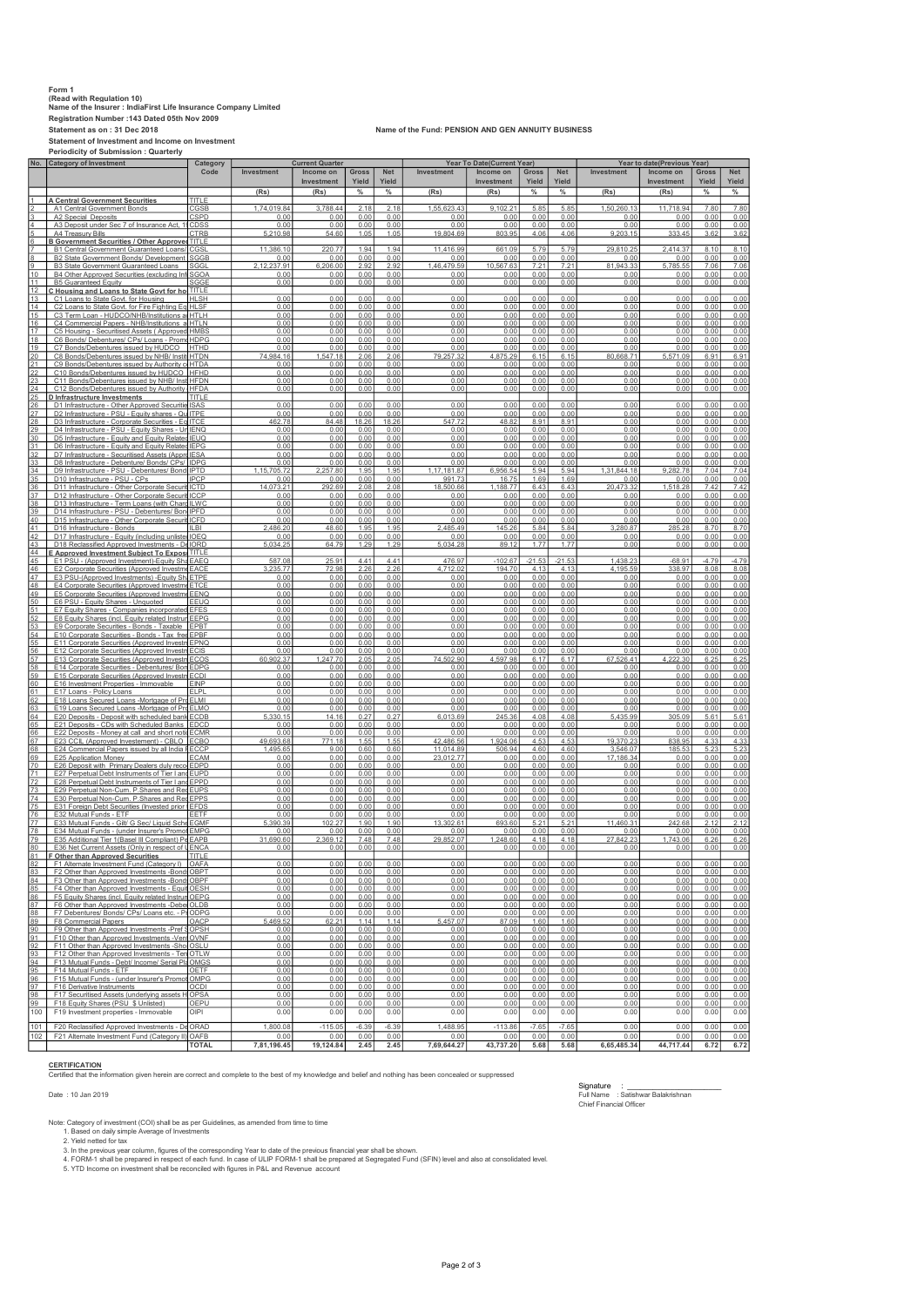## Form 1 (Read with Regulation 10) Name of the Insurer : IndiaFirst Life Insurance Company Limited Registration Number :143 Dated 05th Nov 2009

Statement of Investment and Income on Investment Periodicity of Submission : Quarterly

## Statement as on : 31 Dec 2018 Name of the Fund: PENSION AND GEN ANNUITY BUSINESS

|                 | No. Category of Investment                                                                             | Category                        |                   | <b>Current Quarter</b>  |                       | Year To Date(Current Year) |                        |                         |                |                     | Year to date(Previous Year) |                         |                |                     |
|-----------------|--------------------------------------------------------------------------------------------------------|---------------------------------|-------------------|-------------------------|-----------------------|----------------------------|------------------------|-------------------------|----------------|---------------------|-----------------------------|-------------------------|----------------|---------------------|
|                 |                                                                                                        | Code                            | Investment        | Income on<br>Investment | <b>Gross</b><br>Yield | <b>Net</b><br>Yield        | Investment             | Income on<br>Investment | Gross<br>Yield | <b>Net</b><br>Yield | Investment                  | Income on<br>Investment | Gross<br>Yield | <b>Net</b><br>Yield |
|                 |                                                                                                        |                                 | (Rs)              | (Rs)                    | $\%$                  | $\%$                       | (Rs)                   | (Rs)                    | $\%$           | $\frac{0}{2}$       | (Rs)                        | (Rs)                    | $\%$           | $\frac{9}{6}$       |
|                 | <b>A Central Government Securities</b>                                                                 | TITLE                           |                   |                         |                       |                            |                        |                         |                |                     |                             |                         |                |                     |
|                 | A1 Central Government Bonds                                                                            | <b>CGSB</b>                     | 1.74.019.84       | 3.788.44                | 2.18                  | 2.18                       | 1.55.623.43            | 9.102.21                | 5.85           | 5.85                | 1.50.260.13                 | 11.718.94               | 7.80           | 7.80                |
|                 | A2 Special Deposits<br>A3 Deposit under Sec 7 of Insurance Act, 1                                      | <b>CSPD</b><br>CDSS             | 0.00<br>0.00      | 0.00<br>0.00            | 0.00<br>0.00          | 0.00<br>0.00               | 0.00<br>0.00           | 0.00<br>0.00            | 0.00<br>0.00   | 0.00<br>0.00        | 0.00<br>0.00                | 0.00<br>0.00            | 0.00<br>0.00   | 0.00<br>0.00        |
|                 | A4 Treasury Bills                                                                                      | CTRB                            | 5,210.98          | 54.60                   | 1.05                  | 1.05                       | 19,804.69              | 803.95                  | 4.06           | 4.06                | 9,203.15                    | 333.45                  | 3.62           | 3.62                |
|                 | <b>B Government Securities / Other Approved</b><br><b>B1 Central Government Guaranteed Loans</b>       | <b>TITI F</b><br>CGSI           | 11.386.10         | 220.77                  | 1.94                  | 1.94                       | 11.416.99              | 661.09                  | 5.79           | 5.79                | 29,810.2                    | 2,414.37                | 8.10           | 8.10                |
|                 | B2 State Government Bonds/ Development                                                                 | SGGB                            | 0.00              | 0.00                    | 0.00                  | 0.00                       | 0.00                   | 0.00                    | 0.00           | 0.00                | 0.00                        | 0.00                    | 0.00           | 0.00                |
|                 | B3 State Government Guaranteed Loans                                                                   | SGGI                            | 2,12,237.91       | 6,206.00                | 2.92                  | 2.92                       | 1,46,479.59            | 10,567.63               | 7.21           | 7.21                | 81,943.33                   | 5,785.55                | 7.06           | 7.06                |
| 10 <sup>1</sup> | B4 Other Approved Securities (excluding Inf                                                            | SGOA                            | 0.00              | 0.00                    | 0.00                  | 0.00                       | 0.00                   | 0.00                    | 0.00           | 0.00                | 0.00                        | 0.00                    | 0.00           | 0.00                |
| 11<br>12        | <b>B5 Guaranteed Equity</b><br>C Housing and Loans to State Govt for ho TITLE                          | SGGE                            | 0.00              | 0.00                    | 0.00                  | 0.00                       | 0.00                   | 0.00                    | 0.00           | 0.00                | 0.00                        | 0.00                    | 0.00           | 0.00                |
| 13              | C1 Loans to State Govt. for Housing                                                                    | <b>HLSH</b>                     | 0.00              | 0.00                    | 0.00                  | 0.00                       | 0.00                   | 0.00                    | 0.00           | 0.00                | 0.00                        | 0.00                    | 0.00           | 0.00                |
| 14              | C2 Loans to State Govt. for Fire Fighting Eq                                                           | <b>HLSF</b>                     | 0.00              | 0.00                    | 0.00                  | 0.00                       | 0.00                   | 0.00                    | 0.00           | 0.00                | 0.00                        | 0.00                    | 0.00           | 0.00                |
| 15<br>16        | C3 Term Loan - HUDCO/NHB/Institutions a<br>C4 Commercial Papers - NHB/Institutions a HTLN              | HTLH                            | 0.00<br>0.00      | 0.00<br>0.00            | 0.00<br>0.00          | 0.00<br>0.00               | 0.00<br>0.00           | 0.00<br>0.00            | 0.00<br>0.00   | 0.00<br>0.00        | 0.00<br>0.00                | 0.00<br>0.00            | 0.00<br>0.00   | 0.00<br>0.00        |
| 17              | C5 Housing - Securitised Assets (Approved HMBS                                                         |                                 | 0.00              | 0.00                    | 0.00                  | 0.00                       | 0.00                   | 0.00                    | 0.00           | 0.00                | 0.00                        | 0.00                    | 0.00           | 0.00                |
| 18              | C6 Bonds/ Debentures/ CPs/ Loans - Prome HDPG                                                          |                                 | 0.00              | 0.00                    | 0.00                  | 0.00                       | 0.00                   | 0.00                    | 0.00           | 0.00                | 0.00                        | 0.00                    | 0.00           | 0.00                |
| 19<br>20        | C7 Bonds/Debentures issued by HUDCO<br>C8 Bonds/Debentures issued by NHB/ Instit                       | <b>HTHD</b><br><b>HTDN</b>      | 0.00<br>74,984.16 | 0.00<br>1,547.18        | 0.00<br>2.06          | 0.00<br>2.06               | 0.00<br>79,257.32      | 0.00<br>4,875.29        | 0.00<br>6.15   | 0.00<br>6.15        | 0.00<br>80,668.71           | 0.00<br>5,571.09        | 0.00<br>6.91   | 0.00<br>6.91        |
| 21              | C9 Bonds/Debentures issued by Authority of HTDA                                                        |                                 | 0.00              | 0.00                    | 0.00                  | 0.00                       | 0.00                   | 0.00                    | 0.00           | 0.00                | 0.00                        | 0.00                    | 0.00           | 0.00                |
| $^{22}$         | C10 Bonds/Debentures issued by HUDCO                                                                   | <b>IHFHD</b>                    | 0.00              | 0.00                    | 0.00                  | 0.00                       | 0.00                   | 0.00                    | 0.00           | 0.00                | 0.00                        | 0.00                    | 0.00           | 0.00                |
| 23<br>$^{24}$   | C11 Bonds/Debentures issued by NHB/ Inst<br>C12 Bonds/Debentures issued by Authority                   | <b>HFDN</b><br><b>HFDA</b>      | 0.00<br>0.00      | 0.00<br>0.00            | 0.00<br>0.00          | 0.00<br>0.00               | 0.00<br>0.00           | 0.00<br>0.00            | 0.00<br>0.00   | 0.00<br>0.00        | 0.00<br>0.00                | 0.00<br>0.00            | 0.00<br>0.00   | 0.00<br>0.00        |
| 25              | D Infrastructure Investments                                                                           | TITI F                          |                   |                         |                       |                            |                        |                         |                |                     |                             |                         |                |                     |
| 26              | D1 Infrastructure - Other Approved Securitie ISAS                                                      |                                 | 0.00              | 0.00                    | 0.00                  | 0.00                       | 0.00                   | 0.00                    | 0.00           | 0.00                | 0.00                        | 0.00                    | 0.00           | 0.00                |
| 27<br>28        | D2 Infrastructure - PSU - Equity shares - Qu<br>D3 Infrastructure - Corporate Securities - Eq ITCE     | <b>ITPF</b>                     | 0.00<br>462.78    | 0.00<br>84.48           | 0.00<br>18.26         | 0.00<br>18.26              | 0.00<br>547.72         | 0.00<br>48.82           | 0.00<br>8.91   | 0.00<br>8.91        | 0.00<br>0.00                | 0.00<br>0.00            | 0.00<br>0.00   | 0.00<br>0.00        |
| 29              | D4 Infrastructure - PSU - Equity Shares - Un IENQ                                                      |                                 | 0.00              | 0.00                    | 0.00                  | 0.00                       | 0.00                   | 0.00                    | 0.00           | 0.00                | 0.00                        | 0.00                    | 0.00           | 0.00                |
| 30              | D5 Infrastructure - Equity and Equity Related IEUQ                                                     |                                 | 0.00              | 0.00                    | 0.00                  | 0.00                       | 0.00                   | 0.00                    | 0.00           | 0.00                | 0.00                        | 0.00                    | 0.00           | 0.00                |
| 31<br>32        | D6 Infrastructure - Equity and Equity Related<br>D7 Infrastructure - Securitised Assets (Appro         | <b>IFPG</b><br><b>IESA</b>      | 0.00<br>0.00      | 0.00<br>0.00            | 0.00<br>0.00          | 0.00<br>0.00               | 0.00<br>0.00           | 0.00<br>0.00            | 0.00<br>0.00   | 0.00<br>0.00        | 0.OC<br>0.00                | 0.00<br>0.00            | 0.00<br>0.00   | 0.00<br>0.00        |
| 33 <sub>1</sub> | D8 Infrastructure - Debenture/ Bonds/ CPs/                                                             | <b>IDPG</b>                     | 0.00              | 0.00                    | 0.00                  | 0.00                       | 0.00                   | 0.00                    | 0.00           | 0.00                | 0.00                        | 0.00                    | 0.00           | 0.00                |
| 34              | D9 Infrastructure - PSU - Debentures/ Bond IPTD                                                        |                                 | 1,15,705.72       | 2.257.80                | 1.95                  | 1.95                       | 1,17,181.87            | 6,956.54                | 5.94           | 5.94                | 1,31,844.18                 | 9,282.78                | 7.04           | 7.04                |
| 35              | D10 Infrastructure - PSU - CPs                                                                         | <b>IPCP</b>                     | 0.00              | 0.00                    | 0.00                  | 0.00                       | 991.73                 | 16.75                   | 1.69           | 1.69                | 0.00                        | 0.00                    | 0.00           | 0.00                |
| 36<br>37        | D11 Infrastructure - Other Corporate Securi<br>D12 Infrastructure - Other Corporate Securit            | <b>ICTD</b><br><b>ICCP</b>      | 14.073.21<br>0.00 | 292.69<br>0.00          | 2.08<br>0.00          | 2.08<br>0.00               | 18.500.66<br>0.00      | 1.188.77<br>0.00        | 6.43<br>0.00   | 6.43<br>0.00        | 20.473.32<br>0.00           | 1.518.28<br>0.00        | 7.42<br>0.00   | 7.42<br>0.00        |
| 38              | D13 Infrastructure - Term Loans (with Charg                                                            | <b>ILWC</b>                     | 0.00              | 0.00                    | 0.00                  | 0.00                       | 0.00                   | 0.00                    | 0.00           | 0.00                | 0.00                        | 0.00                    | 0.00           | 0.00                |
| 39              | D14 Infrastructure - PSU - Debentures/ Bon                                                             | <b>IPFD</b>                     | 0.00              | 0.00                    | 0.00                  | 0.00                       | 0.00                   | 0.00                    | 0.00           | 0.00                | 0.00                        | 0.00                    | 0.00           | 0.00                |
| 40<br>41        | D15 Infrastructure - Other Corporate Securi<br>D16 Infrastructure - Bonds                              | ICFD<br><b>ILBI</b>             | 0.00<br>2,486.20  | 0.00<br>48.60           | 0.00<br>1.95          | 0.00<br>1.95               | 0.00<br>2,485.49       | 0.00<br>145.26          | 0.00<br>5.84   | 0.00<br>5.84        | 0.00<br>3,280.87            | 0.00<br>285.28          | 0.00<br>8.70   | 0.00<br>8.70        |
| 42              | D17 Infrastructure - Equity (including unlister                                                        | <b>IOEQ</b>                     | 0.00              | 0.00                    | 0.00                  | 0.00                       | 0.00                   | 0.00                    | 0.00           | 0.00                | 0.00                        | 0.00                    | 0.00           | 0.00                |
| 43              | D18 Reclassified Approved Investments - De IORD                                                        |                                 | 5,034.25          | 64.79                   | 1.29                  | 1.29                       | 5,034.28               | 89.12                   | 1.77           | 1.77                | 0.00                        | 0.00                    | 0.00           | 0.00                |
| 44<br>45        | <u>E Approved Investment Subiect To Exposi</u><br>E1 PSU - (Approved Investment)-Equity Sha            | <b>TITLE</b><br>EAEQ            | 587.08            | 25.91                   | 4.41                  | 4.41                       | 476.97                 | $-102.67$               | $-21.53$       | $-21.53$            | 1,438.23                    | $-68.91$                | $-4.79$        | $-4.79$             |
| 46              | E2 Corporate Securities (Approved Investme                                                             | EACE                            | 3,235.77          | 72.98                   | 2.26                  | 2.26                       | 4,712.02               | 194.70                  | 4.13           | 4.13                | 4,195.59                    | 338.97                  | 8.08           | 8.08                |
| 47              | E3 PSU-(Approved Investments) - Equity Shi ETPE                                                        |                                 | 0.00              | 0.00                    | 0.00                  | 0.00                       | 0.00                   | 0.00                    | 0.00           | 0.00                | 0.00                        | 0.00                    | 0.00           | 0.00                |
| 48<br>49        | E4 Corporate Securities (Approved Investme<br>E5 Corporate Securities (Approved Investme               | ETCE<br>EENQ                    | 0.00<br>0.00      | 0.00<br>0.00            | 0.00<br>0.00          | 0.00<br>0.00               | 0.00<br>0.00           | 0.00<br>0.00            | 0.00<br>0.00   | <u>0.00</u><br>0.00 | 0.00<br>0.00                | 0.00<br>0.00            | 0.00<br>0.00   | 0.00<br>0.00        |
| 50              | E6 PSU - Equity Shares - Unquoted                                                                      | FFUQ                            | 0.00              | 0.00                    | 0.00                  | 0.00                       | 0.00                   | 0.00                    | 0.00           | 0.00                | 0.00                        | 0.00                    | 0.00           | 0.00                |
| 51              | E7 Equity Shares - Companies incorporated                                                              | <b>EFES</b>                     | 0.00              | 0.00                    | 0.00                  | 0.00                       | 0.00                   | 0.00                    | 0.00           | 0.00                | 0.00                        | 0.00                    | 0.00           | 0.00                |
| 52<br>53        | E8 Equity Shares (incl. Equity related Instrun<br>E9 Corporate Securities - Bonds - Taxable            | EEPG<br>EPBT                    | 0.00<br>0.00      | 0.00<br>0.00            | 0.00<br>0.00          | 0.00<br>0.00               | 0.00<br>0.00           | 0.00<br>0.00            | 0.00<br>0.00   | 0.00<br>0.00        | 0.00<br>0.00                | 0.00<br>0.00            | 0.00<br>0.00   | 0.00<br>0.00        |
| 54              | E10 Corporate Securities - Bonds - Tax free                                                            | FPBF                            | 0.00              | 0.00                    | 0.00                  | 0.00                       | 0.00                   | 0.00                    | 0.00           | 0.00                | 0.00                        | 0.00                    | 0.00           | 0.00                |
| 55              | E11 Corporate Securities (Approved Investm                                                             | <b>EPNO</b>                     | 0.00              | 0.00                    | 0.00                  | 0.00                       | 0.00                   | 0.00                    | 0.00           | 0.00                | 0.00                        | 0.00                    | 0.00           | 0.00                |
| 56<br>57        | E12 Corporate Securities (Approved Investm<br>E13 Corporate Securities (Approved Investm               | ECIS<br>ECOS                    | 0.00<br>60,902.37 | 0.00<br>1.247.70        | 0.00<br>2.05          | 0.00<br>2.05               | 0.00<br>74.502.90      | 0.00<br>4.597.98        | 0.00<br>6.17   | 0.00<br>6.17        | 0.00<br>67.526.41           | 0.00<br>4.222.30        | 0.00<br>6.25   | 0.00<br>6.25        |
| 58              | E14 Corporate Securities - Debentures/ Bon                                                             | <b>EDPG</b>                     | 0.00              | 0.00                    | 0.00                  | 0.00                       | 0.00                   | 0.00                    | 0.00           | 0.00                | 0.00                        | 0.00                    | 0.00           | 0.00                |
| 59              | E15 Corporate Securities (Approved Investn                                                             | <b>FCDI</b>                     | 0.00              | 0.00                    | 0.00                  | 0.00                       | 0.00                   | 0.00                    | 0.00           | 0.00                | 0.00                        | 0.00                    | 0.00           | 0.00                |
| 60<br>61        | E16 Investment Properties - Immovable<br>E17 Loans - Policy Loans                                      | <b>EINP</b><br>FI <sub>PI</sub> | 0.00<br>0.00      | 0.00<br>0.00            | 0.00<br>0.00          | 0.00<br>0.00               | 0.00<br>0.00           | 0.00<br>0.00            | 0.00<br>0.00   | 0.00<br>0.00        | 0.00<br>0.00                | 0.00<br>0.00            | 0.00<br>0.00   | 0.00<br>0.00        |
| 62              | E18 Loans Secured Loans -Mortgage of Pr                                                                | <b>ELMI</b>                     | 0.00              | 0.00                    | 0.00                  | 0.00                       | 0.00                   | 0.00                    | 0.00           | 0.00                | 0.00                        | 0.00                    | 0.00           | 0.00                |
| 63              | E19 Loans Secured Loans -Mortgage of Pro                                                               | FI MC                           | 0.00              | 0.00                    | 0.00                  | 0.00                       | 0.00                   | 0.00                    | 0.00           | 0.00                | 0.00                        | 0.00                    | 0.00           | 0.00                |
| 64<br>65        | E20 Deposits - Deposit with scheduled bank<br>E21 Deposits - CDs with Scheduled Banks                  | ECDB<br><b>EDCD</b>             | 5,330.15<br>0.00  | 14.16<br>0.00           | 0.27<br>0.00          | 0.27<br>0.00               | 6,013.69<br>0.00       | 245.36<br>0.00          | 4.08<br>0.00   | 4.08<br>0.00        | 5,435.99<br>0.00            | 305.09<br>0.00          | 5.61<br>0.00   | 5.61<br>0.00        |
| 66              | E22 Deposits - Money at call and short notic                                                           | <b>ECMR</b>                     | 0.00              | 0.00                    | 0.00                  | 0.00                       | 0.00                   | 0.00                    | 0.00           | 0.00                | 0.00                        | 0.00                    | 0.00           | 0.00                |
| 67              | E23 CCIL (Approved Investement) - CBLO ECBO                                                            |                                 | 49,693.68         | 771.18                  | 1.55                  | 1.55                       | 42,486.56              | 1,924.06                | 4.53           | 4.53                | 19,370.23                   | 838.95                  | 4.33           | 4.33                |
| 68<br>69        | E24 Commercial Papers issued by all India FECCP<br>E25 Application Money                               | ECAM                            | 1,495.65<br>0.00  | 9.00<br>0.00            | 0.60<br>0.00          | 0.60<br>0.00               | 11,014.89<br>23.012.77 | 506.94<br>0.00          | 4.60<br>0.00   | 4.60<br>0.00        | 3,546.07<br>17.186.34       | 185.53<br>0.00          | 5.23<br>0.00   | 5.23<br>0.00        |
| 70              | E26 Deposit with Primary Dealers duly reco                                                             | <b>EDPD</b>                     | 0.00              | 0.00                    | 0.00                  | 0.00                       | 0.00                   | 0.00                    | 0.00           | 0.00                | 0.00                        | 0.00                    | 0.00           | 0.00                |
| 71              | E27 Perpetual Debt Instruments of Tier I and                                                           | <b>FUPD</b>                     | 0.00              | 0.00                    | 0.00                  | 0.00                       | 0.00                   | 0.00                    | 0.00           | 0.00                | 0.00                        | 0.00                    | 0.00           | 0.00                |
| 72<br>73        | E28 Perpetual Debt Instruments of Tier I and<br>E29 Perpetual Non-Cum. P.Shares and Re                 | <b>EPPD</b><br><b>EUPS</b>      | 0.00<br>0.00      | 0.00<br>0.00            | 0.00<br>0.00          | 0.00<br>0.00               | 0.00<br>0.00           | 0.00<br>0.00            | 0.00<br>0.00   | 0.00<br>0.00        | 0.00<br>0.00                | 0.00<br>0.00            | 0.00<br>0.00   | 0.00<br>0.00        |
| 74              | E30 Perpetual Non-Cum. P. Shares and Ree                                                               | <b>EPPS</b>                     | 0.00              | 0.00                    | 0.00                  | 0.00                       | 0.00                   | 0.00                    | 0.00           | 0.00                | 0.00                        | 0.00                    | 0.00           | 0.00                |
| 75              | E31 Foreign Debt Securities (Invested prior t                                                          | <b>EFDS</b>                     | 0.00              | 0.00                    | 0.00                  | 0.00                       | 0.00                   | 0.00                    | 0.00           | 0.00                | 0.00                        | 0.00                    | 0.00           | 0.00                |
| 76<br>77        | E32 Mutual Funds - ETF<br>E33 Mutual Funds - Gilt/ G Sec/ Liquid Sche                                  | EETF<br><b>EGMF</b>             | 0.00<br>5,390.39  | 0.00<br>102.27          | 0.00<br>1.90          | 0.00<br>1.90               | 0.00<br>13,302.61      | 0.00<br>693.60          | 0.00<br>5.21   | 0.00<br>5.21        | 0.00<br>11,460.31           | 0.00<br>242.68          | 0.00<br>2.12   | 0.00<br>2.12        |
| 78              | E34 Mutual Funds - (under Insurer's Promot                                                             | EMPG                            | 0.00              | 0.00                    | 0.00                  | 0.00                       | 0.00                   | 0.00                    | 0.00           | 0.00                | 0.00                        | 0.00                    | 0.00           | 0.00                |
| 79              | E35 Additional Tier 1 (Basel III Compliant) Pe EAPB                                                    |                                 | 31,690.60         | 2,369.12                | 7.48                  | 7.48                       | 29.852.07              | 1,248.60                | 4.18           | 4.18                | 27.842.23                   | 1,743.06                | 6.26           | 6.26                |
| 80              | E36 Net Current Assets (Only in respect of UENCA                                                       | TITI I                          | 0.00              | 0.00                    | 0.00                  | 0.00                       | 0.00                   | 0.00                    | 0.00           | 0.00                | 0.00                        | 0.00                    | 0.00           | 0.00                |
| 82              | <b>F Other than Approved Securities</b><br>F1 Alternate Investment Fund (Category I)                   | OAFA                            | 0.00              | 0.00                    | 0.00                  | 0.00                       | 0.00                   | 0.00                    | 0.00           | 0.00                | 0.00                        | 0.00                    | 0.00           | 0.00                |
| 83              | F2 Other than Approved Investments -Bonds                                                              | OBPT                            | 0.00              | 0.00                    | 0.00                  | 0.00                       | 0.00                   | 0.00                    | 0.00           | 0.00                | 0.00                        | 0.00                    | 0.00           | 0.00                |
| 84              | F3 Other than Approved Investments -Bond OBPF                                                          |                                 | 0.00              | 0.00                    | 0.00                  | 0.00                       | 0.00                   | 0.00                    | 0.00           | 0.00                | 0.00                        | 0.00                    | 0.00           | 0.00                |
| 85<br>86        | F4 Other than Approved Investments - Equit OESH<br>F5 Equity Shares (incl. Equity related Instrum OEPG |                                 | 0.00<br>0.00      | 0.00<br>0.00            | 0.00<br>0.00          | 0.00<br>0.00               | 0.00<br>0.00           | 0.00<br>0.00            | 0.00<br>0.00   | 0.00<br>0.00        | 0.00<br>0.00                | 0.00<br>0.00            | 0.00<br>0.00   | 0.00<br>0.00        |
| 87              | F6 Other than Approved Investments -Debe OLDB                                                          |                                 | 0.00              | 0.00                    | 0.00                  | 0.00                       | 0.00                   | 0.00                    | 0.00           | 0.00                | 0.00                        | 0.00                    | 0.00           | 0.00                |
| 88<br>89        | F7 Debentures/ Bonds/ CPs/ Loans etc. - PrODPG<br>F8 Commercial Papers                                 | OACP                            | 0.00<br>5,469.52  | 0.00<br>62.21           | 0.00<br>1.14          | 0.00<br>1.14               | 0.00<br>5,457.07       | 0.00<br>87.09           | 0.00<br>1.60   | 0.00<br>1.60        | 0.00<br>0.00                | 0.00<br>0.00            | 0.00<br>0.00   | 0.00<br>0.00        |
| 90              | F9 Other than Approved Investments -Pref SOPSH                                                         |                                 | 0.00              | 0.00                    | 0.00                  | 0.00                       | 0.00                   | 0.00                    | 0.00           | 0.00                | 0.00                        | 0.00                    | 0.00           | 0.00                |
| 91              | F10 Other than Approved Investments -Ven OVNF                                                          |                                 | 0.00              | 0.00                    | 0.00                  | 0.00                       | 0.00                   | 0.00                    | 0.00           | 0.00                | 0.00                        | 0.00                    | 0.00           | 0.00                |
| 92              | F11 Other than Approved Investments -Shot OSLU                                                         |                                 | 0.00              | 0.00                    | 0.00                  | 0.00                       | 0.00                   | 0.00                    | 0.00           | 0.00                | 0.00                        | 0.00                    | 0.00           | 0.00                |
| 93<br>94        | F12 Other than Approved Investments - Ten OTLW<br>F13 Mutual Funds - Debt/ Income/ Serial Pla          | OMGS                            | 0.00<br>0.00      | 0.00<br>0.00            | 0.00<br>0.00          | 0.00<br>0.00               | 0.00<br>0.00           | 0.00<br>0.00            | 0.00<br>0.00   | 0.00<br>0.00        | 0.00<br>0.00                | 0.00<br>0.00            | 0.00<br>0.00   | 0.00<br>0.00        |
| 95              | F14 Mutual Funds - ETF                                                                                 | OETF                            | 0.00              | 0.00                    | 0.00                  | 0.00                       | 0.00                   | 0.00                    | 0.00           | 0.00                | 0.00                        | 0.00                    | 0.00           | 0.00                |
| 96              | F15 Mutual Funds - (under Insurer's Promot                                                             | OMPG                            | 0.00              | 0.00                    | 0.00                  | 0.00                       | 0.00                   | 0.00                    | 0.00           | 0.00                | 0.00                        | 0.00                    | 0.00           | 0.00                |
| 97<br>98        | F16 Derivative Instruments<br>F17 Securitised Assets (underlying assets H                              | OCDI<br>OPSA                    | 0.00<br>0.00      | 0.00<br>0.00            | 0.00<br>0.00          | 0.00<br>0.00               | 0.00<br>0.00           | 0.00<br>0.00            | 0.00<br>0.00   | 0.00<br>0.00        | 0.00<br>0.00                | 0.00<br>0.00            | 0.00<br>0.00   | 0.00<br>0.00        |
| 99              | F18 Equity Shares (PSU \$ Unlisted)                                                                    | OEPU                            | 0.00              | 0.00                    | 0.00                  | 0.00                       | 0.00                   | 0.00                    | 0.00           | 0.00                | 0.00                        | 0.00                    | 0.00           | 0.00                |
| 100             | F19 Investment properties - Immovable                                                                  | OIPI                            | 0.00              | 0.00                    | 0.00                  | 0.00                       | 0.00                   | 0.00                    | 0.00           | 0.00                | 0.00                        | 0.00                    | 0.00           | 0.00                |
| 101             | F20 Reclassified Approved Investments - De                                                             | ORAD                            | 1.800.08          | $-115.05$               | $-6.39$               | $-6.39$                    | 1,488.95               | $-113.86$               | $-7.65$        | $-7.65$             | 0.00                        | 0.00                    | 0.00           | 0.00                |
| 102             | F21 Alternate Investment Fund (Category II) OAFB                                                       |                                 | 0.00              | 0.00                    | 0.00                  | 0.00                       | 0.00                   | 0.00                    | 0.00           | 0.00                | 0.00                        | 0.00                    | 0.00           | 0.00                |
|                 |                                                                                                        | <b>TOTAL</b>                    | 7,81,196.45       | 19,124.84               | 2.45                  | 2.45                       | 7,69,644.27            | 43,737.20               | 5.68           | 5.68                | 6,65,485.34                 | 44,717.44               | 6.72           | 6.72                |

CERTIFICATION<br>Certified that the information given herein are correct and complete to the best of my knowledge and belief and nothing has been concealed or suppressed

Signature : \_\_\_\_\_\_\_\_\_\_\_\_\_\_\_\_\_\_\_\_\_\_ Date : 10 Jan 2019 Full Name : Satishwar Balakrishnan Chief Financial Officer

Note: Category of investment (COI) shall be as per Guidelines, as amended from time to time<br>1. Based on daily simple Average of Investments<br>2. Yield netted for tax<br>3. In the previous year column, figures of the correspondi